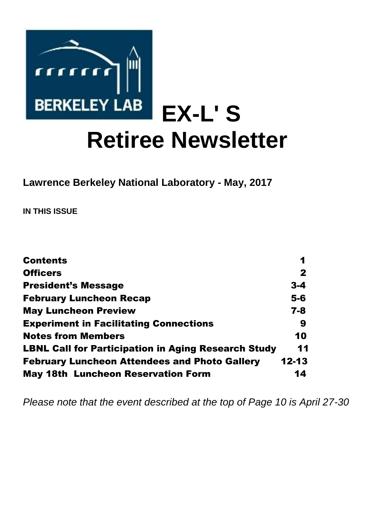

**Lawrence Berkeley National Laboratory - May, 2017** 

**IN THIS ISSUE** 

| <b>Contents</b>                                            | 1            |
|------------------------------------------------------------|--------------|
| <b>Officers</b>                                            | $\mathbf{2}$ |
| <b>President's Message</b>                                 | $3 - 4$      |
| <b>February Luncheon Recap</b>                             | $5-6$        |
| <b>May Luncheon Preview</b>                                | $7 - 8$      |
| <b>Experiment in Facilitating Connections</b>              | 9            |
| <b>Notes from Members</b>                                  | 10           |
| <b>LBNL Call for Participation in Aging Research Study</b> | 11           |
| <b>February Luncheon Attendees and Photo Gallery</b>       | $12 - 13$    |
| <b>May 18th Luncheon Reservation Form</b>                  | 14           |

*Please note that the event described at the top of Page 10 is April 27-30*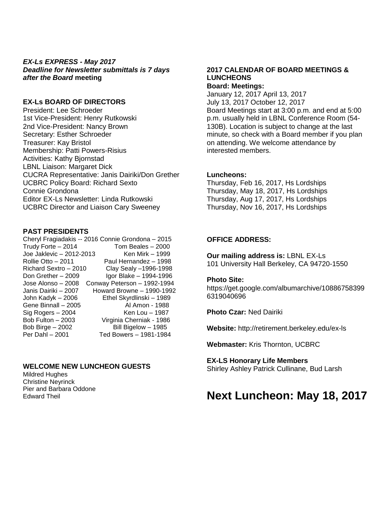### *EX-Ls EXPRESS - May 2017 Deadline for Newsletter submittals is 7 days after the Board* **meeting**

### **EX-Ls BOARD OF DIRECTORS**

President: Lee Schroeder 1st Vice-President: Henry Rutkowski 2nd Vice-President: Nancy Brown Secretary: Esther Schroeder Treasurer: Kay Bristol Membership: Patti Powers-Risius Activities: Kathy Bjornstad LBNL Liaison: Margaret Dick CUCRA Representative: Janis Dairiki/Don Grether UCBRC Policy Board: Richard Sexto Connie Grondona Editor EX-Ls Newsletter: Linda Rutkowski UCBRC Director and Liaison Cary Sweeney

### **PAST PRESIDENTS**

Cheryl Fragiadakis -- 2016 Connie Grondona – 2015 Trudy Forte – 2014 Tom Beales – 2000 Joe Jaklevic – 2012-2013 Ken Mirk – 1999 Rollie Otto – 2011 Paul Hernandez – 1998 Richard Sextro – 2010 Clay Sealy –1996-1998 Don Grether – 2009 Igor Blake – 1994-1996 Jose Alonso – 2008 Conway Peterson – 1992-1994 Janis Dairiki – 2007 Howard Browne – 1990-1992 John Kadyk – 2006 Ethel Skyrdlinski – 1989 Gene Binnall – 2005 Al Amon - 1988 Sig Rogers – 2004 Ken Lou – 1987 Bob Fulton – 2003 Virginia Cherniak - 1986 Bob Birge – 2002 Bill Bigelow – 1985 Per Dahl – 2001 Ted Bowers – 1981-1984

### **WELCOME NEW LUNCHEON GUESTS**

Mildred Hughes Christine Neyrinck Pier and Barbara Oddone Edward Theil

#### **2017 CALENDAR OF BOARD MEETINGS & LUNCHEONS Board: Meetings:**

January 12, 2017 April 13, 2017 July 13, 2017 October 12, 2017 Board Meetings start at 3:00 p.m. and end at 5:00 p.m. usually held in LBNL Conference Room (54- 130B). Location is subject to change at the last minute, so check with a Board member if you plan on attending. We welcome attendance by interested members.

### **Luncheons:**

Thursday, Feb 16, 2017, Hs Lordships Thursday, May 18, 2017, Hs Lordships Thursday, Aug 17, 2017, Hs Lordships Thursday, Nov 16, 2017, Hs Lordships

### **OFFICE ADDRESS:**

**Our mailing address is:** LBNL EX-Ls 101 University Hall Berkeley, CA 94720-1550

#### **Photo Site:**

https://get.google.com/albumarchive/10886758399 6319040696

**Photo Czar:** Ned Dairiki

**Website:** http://retirement.berkeley.edu/ex-ls

**Webmaster:** Kris Thornton, UCBRC

### **EX-LS Honorary Life Members**

Shirley Ashley Patrick Cullinane, Bud Larsh

# **Next Luncheon: May 18, 2017**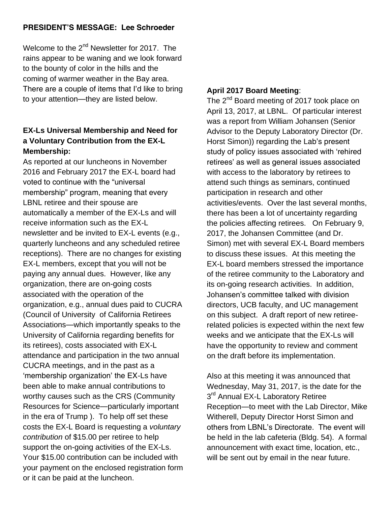# **PRESIDENT'S MESSAGE: Lee Schroeder**

Welcome to the 2<sup>nd</sup> Newsletter for 2017. The rains appear to be waning and we look forward to the bounty of color in the hills and the coming of warmer weather in the Bay area. There are a couple of items that I'd like to bring to your attention—they are listed below.

# **EX-Ls Universal Membership and Need for a Voluntary Contribution from the EX-L Membership:**

As reported at our luncheons in November 2016 and February 2017 the EX-L board had voted to continue with the "universal membership" program, meaning that every LBNL retiree and their spouse are automatically a member of the EX-Ls and will receive information such as the EX-L newsletter and be invited to EX-L events (e.g., quarterly luncheons and any scheduled retiree receptions). There are no changes for existing EX-L members, except that you will not be paying any annual dues. However, like any organization, there are on-going costs associated with the operation of the organization, e.g., annual dues paid to CUCRA (Council of University of California Retirees Associations—which importantly speaks to the University of California regarding benefits for its retirees), costs associated with EX-L attendance and participation in the two annual CUCRA meetings, and in the past as a 'membership organization' the EX-Ls have been able to make annual contributions to worthy causes such as the CRS (Community Resources for Science—particularly important in the era of Trump ). To help off set these costs the EX-L Board is requesting a *voluntary contribution* of \$15.00 per retiree to help support the on-going activities of the EX-Ls. Your \$15.00 contribution can be included with your payment on the enclosed registration form or it can be paid at the luncheon.

### **April 2017 Board Meeting**:

The 2<sup>nd</sup> Board meeting of 2017 took place on April 13, 2017, at LBNL. Of particular interest was a report from William Johansen (Senior Advisor to the Deputy Laboratory Director (Dr. Horst Simon)) regarding the Lab's present study of policy issues associated with 'rehired retirees' as well as general issues associated with access to the laboratory by retirees to attend such things as seminars, continued participation in research and other activities/events. Over the last several months, there has been a lot of uncertainty regarding the policies affecting retirees. On February 9, 2017, the Johansen Committee (and Dr. Simon) met with several EX-L Board members to discuss these issues. At this meeting the EX-L board members stressed the importance of the retiree community to the Laboratory and its on-going research activities. In addition, Johansen's committee talked with division directors, UCB faculty, and UC management on this subject. A draft report of new retireerelated policies is expected within the next few weeks and we anticipate that the EX-Ls will have the opportunity to review and comment on the draft before its implementation.

Also at this meeting it was announced that Wednesday, May 31, 2017, is the date for the 3<sup>rd</sup> Annual EX-L Laboratory Retiree Reception—to meet with the Lab Director, Mike Witherell, Deputy Director Horst Simon and others from LBNL's Directorate. The event will be held in the lab cafeteria (Bldg. 54). A formal announcement with exact time, location, etc., will be sent out by email in the near future.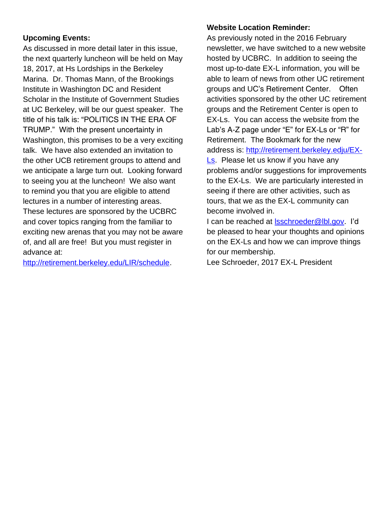# **Upcoming Events:**

As discussed in more detail later in this issue, the next quarterly luncheon will be held on May 18, 2017, at Hs Lordships in the Berkeley Marina. Dr. Thomas Mann, of the Brookings Institute in Washington DC and Resident Scholar in the Institute of Government Studies at UC Berkeley, will be our guest speaker. The title of his talk is: "POLITICS IN THE ERA OF TRUMP." With the present uncertainty in Washington, this promises to be a very exciting talk. We have also extended an invitation to the other UCB retirement groups to attend and we anticipate a large turn out. Looking forward to seeing you at the luncheon! We also want to remind you that you are eligible to attend lectures in a number of interesting areas. These lectures are sponsored by the UCBRC and cover topics ranging from the familiar to exciting new arenas that you may not be aware of, and all are free! But you must register in advance at:

[http://retirement.berkeley.edu/LIR/schedule.](http://retirement.berkeley.edu/LIR/schedule)

# **Website Location Reminder:**

As previously noted in the 2016 February newsletter, we have switched to a new website hosted by UCBRC. In addition to seeing the most up-to-date EX-L information, you will be able to learn of news from other UC retirement groups and UC's Retirement Center. Often activities sponsored by the other UC retirement groups and the Retirement Center is open to EX-Ls. You can access the website from the Lab's A-Z page under "E" for EX-Ls or "R" for Retirement. The Bookmark for the new address is: [http://retirement.berkeley.edju/EX-](http://retirement.berkeley.edju/EX-Ls)[Ls.](http://retirement.berkeley.edju/EX-Ls) Please let us know if you have any problems and/or suggestions for improvements to the EX-Ls. We are particularly interested in seeing if there are other activities, such as tours, that we as the EX-L community can become involved in.

I can be reached at Isschroeder@lbl.gov. I'd be pleased to hear your thoughts and opinions on the EX-Ls and how we can improve things for our membership.

Lee Schroeder, 2017 EX-L President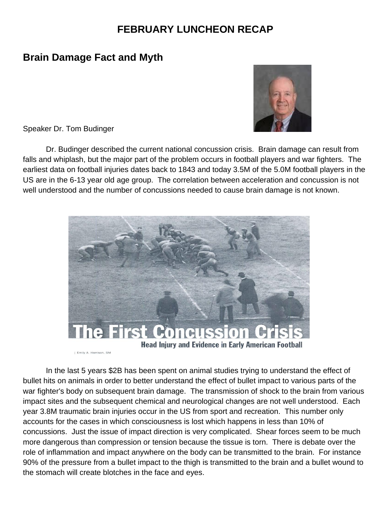# **FEBRUARY LUNCHEON RECAP**

# **Brain Damage Fact and Myth**

Speaker Dr. Tom Budinger

Dr. Budinger described the current national concussion crisis. Brain damage can result from falls and whiplash, but the major part of the problem occurs in football players and war fighters. The earliest data on football injuries dates back to 1843 and today 3.5M of the 5.0M football players in the US are in the 6-13 year old age group. The correlation between acceleration and concussion is not well understood and the number of concussions needed to cause brain damage is not known.



In the last 5 years \$2B has been spent on animal studies trying to understand the effect of bullet hits on animals in order to better understand the effect of bullet impact to various parts of the war fighter's body on subsequent brain damage. The transmission of shock to the brain from various impact sites and the subsequent chemical and neurological changes are not well understood. Each year 3.8M traumatic brain injuries occur in the US from sport and recreation. This number only accounts for the cases in which consciousness is lost which happens in less than 10% of concussions. Just the issue of impact direction is very complicated. Shear forces seem to be much more dangerous than compression or tension because the tissue is torn. There is debate over the role of inflammation and impact anywhere on the body can be transmitted to the brain. For instance 90% of the pressure from a bullet impact to the thigh is transmitted to the brain and a bullet wound to the stomach will create blotches in the face and eyes.

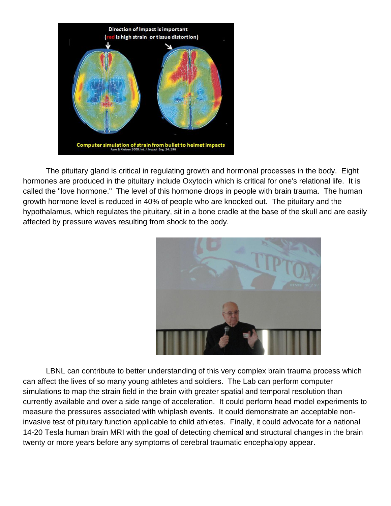

The pituitary gland is critical in regulating growth and hormonal processes in the body. Eight hormones are produced in the pituitary include Oxytocin which is critical for one's relational life. It is called the "love hormone." The level of this hormone drops in people with brain trauma. The human growth hormone level is reduced in 40% of people who are knocked out. The pituitary and the hypothalamus, which regulates the pituitary, sit in a bone cradle at the base of the skull and are easily affected by pressure waves resulting from shock to the body.



LBNL can contribute to better understanding of this very complex brain trauma process which can affect the lives of so many young athletes and soldiers. The Lab can perform computer simulations to map the strain field in the brain with greater spatial and temporal resolution than currently available and over a side range of acceleration. It could perform head model experiments to measure the pressures associated with whiplash events. It could demonstrate an acceptable noninvasive test of pituitary function applicable to child athletes. Finally, it could advocate for a national 14-20 Tesla human brain MRI with the goal of detecting chemical and structural changes in the brain twenty or more years before any symptoms of cerebral traumatic encephalopy appear.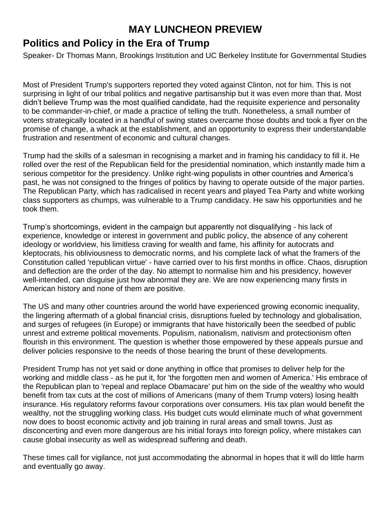# **MAY LUNCHEON PREVIEW**

# **Politics and Policy in the Era of Trump**

Speaker- Dr Thomas Mann, Brookings Institution and UC Berkeley Institute for Governmental Studies

Most of President Trump's supporters reported they voted against Clinton, not for him. This is not surprising in light of our tribal politics and negative partisanship but it was even more than that. Most didn't believe Trump was the most qualified candidate, had the requisite experience and personality to be commander-in-chief, or made a practice of telling the truth. Nonetheless, a small number of voters strategically located in a handful of swing states overcame those doubts and took a flyer on the promise of change, a whack at the establishment, and an opportunity to express their understandable frustration and resentment of economic and cultural changes.

Trump had the skills of a salesman in recognising a market and in framing his candidacy to fill it. He rolled over the rest of the Republican field for the presidential nomination, which instantly made him a serious competitor for the presidency. Unlike right-wing populists in other countries and America's past, he was not consigned to the fringes of politics by having to operate outside of the major parties. The Republican Party, which has radicalised in recent years and played Tea Party and white working class supporters as chumps, was vulnerable to a Trump candidacy. He saw his opportunities and he took them.

Trump's shortcomings, evident in the campaign but apparently not disqualifying - his lack of experience, knowledge or interest in government and public policy, the absence of any coherent ideology or worldview, his limitless craving for wealth and fame, his affinity for autocrats and kleptocrats, his obliviousness to democratic norms, and his complete lack of what the framers of the Constitution called 'republican virtue' - have carried over to his first months in office. Chaos, disruption and deflection are the order of the day. No attempt to normalise him and his presidency, however well-intended, can disguise just how abnormal they are. We are now experiencing many firsts in American history and none of them are positive.

The US and many other countries around the world have experienced growing economic inequality, the lingering aftermath of a global financial crisis, disruptions fueled by technology and globalisation, and surges of refugees (in Europe) or immigrants that have historically been the seedbed of public unrest and extreme political movements. Populism, nationalism, nativism and protectionism often flourish in this environment. The question is whether those empowered by these appeals pursue and deliver policies responsive to the needs of those bearing the brunt of these developments.

President Trump has not yet said or done anything in office that promises to deliver help for the working and middle class - as he put it, for 'the forgotten men and women of America.' His embrace of the Republican plan to 'repeal and replace Obamacare' put him on the side of the wealthy who would benefit from tax cuts at the cost of millions of Americans (many of them Trump voters) losing health insurance. His regulatory reforms favour corporations over consumers. His tax plan would benefit the wealthy, not the struggling working class. His budget cuts would eliminate much of what government now does to boost economic activity and job training in rural areas and small towns. Just as disconcerting and even more dangerous are his initial forays into foreign policy, where mistakes can cause global insecurity as well as widespread suffering and death.

These times call for vigilance, not just accommodating the abnormal in hopes that it will do little harm and eventually go away.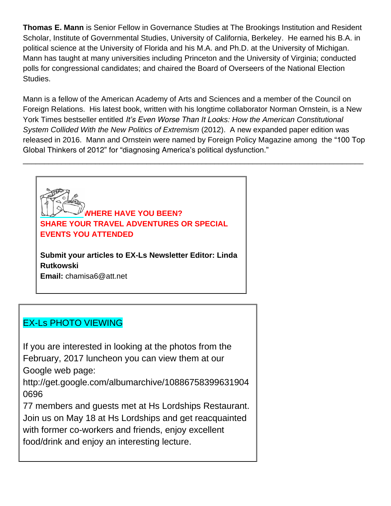**Thomas E. Mann** is Senior Fellow in Governance Studies at The Brookings Institution and Resident Scholar, Institute of Governmental Studies, University of California, Berkeley. He earned his B.A. in political science at the University of Florida and his M.A. and Ph.D. at the University of Michigan. Mann has taught at many universities including Princeton and the University of Virginia; conducted polls for congressional candidates; and chaired the Board of Overseers of the National Election Studies.

Mann is a fellow of the American Academy of Arts and Sciences and a member of the Council on Foreign Relations. His latest book, written with his longtime collaborator Norman Ornstein, is a New York Times bestseller entitled *It's Even Worse Than It Looks: How the American Constitutional System Collided With the New Politics of Extremism* (2012). A new expanded paper edition was released in 2016. Mann and Ornstein were named by Foreign Policy Magazine among the "100 Top Global Thinkers of 2012" for "diagnosing America's political dysfunction."

\_\_\_\_\_\_\_\_\_\_\_\_\_\_\_\_\_\_\_\_\_\_\_\_\_\_\_\_\_\_\_\_\_\_\_\_\_\_\_\_\_\_\_\_\_\_\_\_\_\_\_\_\_\_\_\_\_\_\_\_\_\_\_\_\_\_\_\_\_\_\_\_\_\_\_\_\_\_\_\_

**WHERE HAVE YOU BEEN? SHARE YOUR TRAVEL ADVENTURES OR SPECIAL EVENTS YOU ATTENDED**

**Submit your articles to EX-Ls Newsletter Editor: Linda Rutkowski Email:** chamisa6@att.net

# EX-Ls PHOTO VIEWING

If you are interested in looking at the photos from the February, 2017 luncheon you can view them at our Google web page:

http://get.google.com/albumarchive/10886758399631904 0696

77 members and guests met at Hs Lordships Restaurant. Join us on May 18 at Hs Lordships and get reacquainted with former co-workers and friends, enjoy excellent food/drink and enjoy an interesting lecture.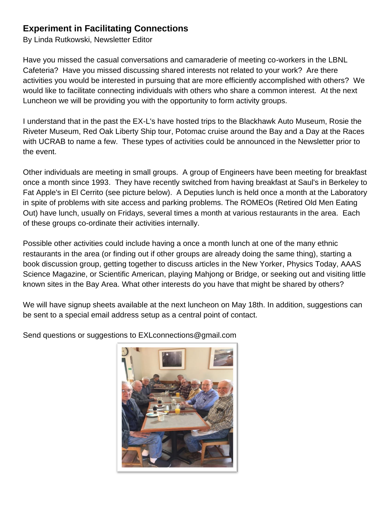# **Experiment in Facilitating Connections**

By Linda Rutkowski, Newsletter Editor

Have you missed the casual conversations and camaraderie of meeting co-workers in the LBNL Cafeteria? Have you missed discussing shared interests not related to your work? Are there activities you would be interested in pursuing that are more efficiently accomplished with others? We would like to facilitate connecting individuals with others who share a common interest. At the next Luncheon we will be providing you with the opportunity to form activity groups.

I understand that in the past the EX-L's have hosted trips to the Blackhawk Auto Museum, Rosie the Riveter Museum, Red Oak Liberty Ship tour, Potomac cruise around the Bay and a Day at the Races with UCRAB to name a few. These types of activities could be announced in the Newsletter prior to the event.

Other individuals are meeting in small groups. A group of Engineers have been meeting for breakfast once a month since 1993. They have recently switched from having breakfast at Saul's in Berkeley to Fat Apple's in El Cerrito (see picture below). A Deputies lunch is held once a month at the Laboratory in spite of problems with site access and parking problems. The ROMEOs (Retired Old Men Eating Out) have lunch, usually on Fridays, several times a month at various restaurants in the area. Each of these groups co-ordinate their activities internally.

Possible other activities could include having a once a month lunch at one of the many ethnic restaurants in the area (or finding out if other groups are already doing the same thing), starting a book discussion group, getting together to discuss articles in the New Yorker, Physics Today, AAAS Science Magazine, or Scientific American, playing Mahjong or Bridge, or seeking out and visiting little known sites in the Bay Area. What other interests do you have that might be shared by others?

We will have signup sheets available at the next luncheon on May 18th. In addition, suggestions can be sent to a special email address setup as a central point of contact.

Send questions or suggestions to EXLconnections@gmail.com

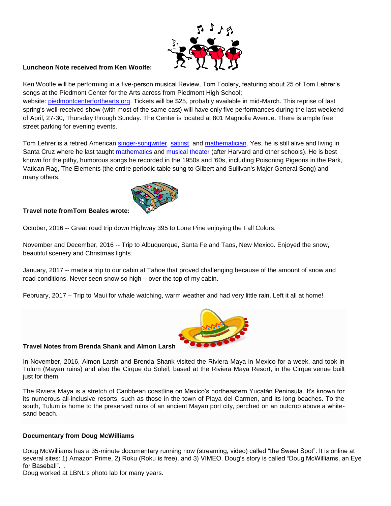

### **Luncheon Note received from Ken Woolfe:**

Ken Woolfe will be performing in a five-person musical Review, Tom Foolery, featuring about 25 of Tom Lehrer's songs at the Piedmont Center for the Arts across from Piedmont High School;

website: [piedmontcenterforthearts.org.](http://piedmontcenterforthearts.org/) Tickets will be \$25, probably available in mid-March. This reprise of last spring's well-received show (with most of the same cast) will have only five performances during the last weekend of April, 27-30, Thursday through Sunday. The Center is located at 801 Magnolia Avenue. There is ample free street parking for evening events.

Tom Lehrer is a retired American [singer-songwriter,](https://en.wikipedia.org/wiki/Singer-songwriter) [satirist,](https://en.wikipedia.org/wiki/Satire) and [mathematician.](https://en.wikipedia.org/wiki/Mathematician) Yes, he is still alive and living in Santa Cruz where he last taught [mathematics](https://en.wikipedia.org/wiki/Mathematics) and [musical theater](https://en.wikipedia.org/wiki/Musical_theater) (after Harvard and other schools). He is best known for the pithy, humorous songs he recorded in the 1950s and '60s, including Poisoning Pigeons in the Park, Vatican Rag, The Elements (the entire periodic table sung to Gilbert and Sullivan's Major General Song) and many others.



### **Travel note fromTom Beales wrote:**

October, 2016 -- Great road trip down Highway 395 to Lone Pine enjoying the Fall Colors.

November and December, 2016 -- Trip to Albuquerque, Santa Fe and Taos, New Mexico. Enjoyed the snow, beautiful scenery and Christmas lights.

January, 2017 -- made a trip to our cabin at Tahoe that proved challenging because of the amount of snow and road conditions. Never seen snow so high – over the top of my cabin.

February, 2017 – Trip to Maui for whale watching, warm weather and had very little rain. Left it all at home!



#### **Travel Notes from Brenda Shank and Almon Larsh**

In November, 2016, Almon Larsh and Brenda Shank visited the Riviera Maya in Mexico for a week, and took in Tulum (Mayan ruins) and also the Cirque du Soleil, based at the Riviera Maya Resort, in the Cirque venue built just for them.

The Riviera Maya is a stretch of Caribbean coastline on Mexico's northeastern Yucatán Peninsula. It's known for its numerous all-inclusive resorts, such as those in the town of Playa del Carmen, and its long beaches. To the south, Tulum is home to the preserved ruins of an ancient Mayan port city, perched on an outcrop above a whitesand beach.

#### **Documentary from Doug McWilliams**

Doug McWilliams has a 35-minute documentary running now (streaming, video) called "the Sweet Spot". It is online at several sites: 1) Amazon Prime, 2) Roku (Roku is free), and 3) VIMEO. Doug's story is called "Doug McWilliams, an Eye for Baseball". .

Doug worked at LBNL's photo lab for many years.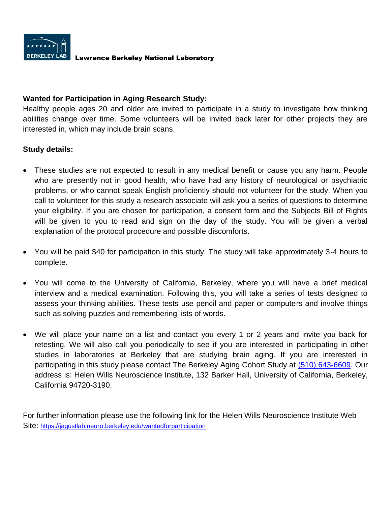

### Lawrence Berkeley National Laboratory

### **Wanted for Participation in Aging Research Study:**

Healthy people ages 20 and older are invited to participate in a study to investigate how thinking abilities change over time. Some volunteers will be invited back later for other projects they are interested in, which may include brain scans.

### **Study details:**

- These studies are not expected to result in any medical benefit or cause you any harm. People who are presently not in good health, who have had any history of neurological or psychiatric problems, or who cannot speak English proficiently should not volunteer for the study. When you call to volunteer for this study a research associate will ask you a series of questions to determine your eligibility. If you are chosen for participation, a consent form and the Subjects Bill of Rights will be given to you to read and sign on the day of the study. You will be given a verbal explanation of the protocol procedure and possible discomforts.
- You will be paid \$40 for participation in this study. The study will take approximately 3-4 hours to complete.
- You will come to the University of California, Berkeley, where you will have a brief medical interview and a medical examination. Following this, you will take a series of tests designed to assess your thinking abilities. These tests use pencil and paper or computers and involve things such as solving puzzles and remembering lists of words.
- We will place your name on a list and contact you every 1 or 2 years and invite you back for retesting. We will also call you periodically to see if you are interested in participating in other studies in laboratories at Berkeley that are studying brain aging. If you are interested in participating in this study please contact The Berkeley Aging Cohort Study at [\(510\) 643-6609.](tel:(510)%20643-6609) Our address is: Helen Wills Neuroscience Institute, 132 Barker Hall, University of California, Berkeley, California 94720-3190.

For further information please use the following link for the Helen Wills Neuroscience Institute Web Site: <https://jagustlab.neuro.berkeley.edu/wantedforparticipation>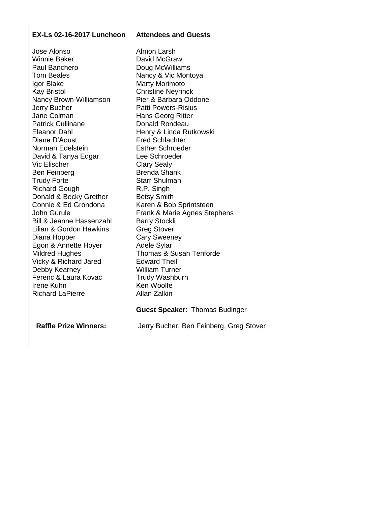### **EX-Ls 02-16-2017 Luncheon Attendees and Guests**

Jose Alonso Winnie Baker Paul Banchero Tom Beales Igor Blake Kay Bristol Nancy Brown-Williamson Jerry Bucher Jane Colman Patrick Cullinane Eleanor Dahl Diane D'Aoust Norman Edelstein David & Tanya Edgar Vic Elischer Ben Feinberg Trudy Forte Richard Gough Donald & Becky Grether Connie & Ed Grondona John Gurule Bill & Jeanne Hassenzahl Lilian & Gordon Hawkins Diana Hopper Egon & Annette Hoyer Mildred Hughes Vicky & Richard Jared Debby Kearney Ferenc & Laura Kovac Irene Kuhn Richard LaPierre

Almon Larsh David McGraw Doug McWilliams Nancy & Vic Montoya Marty Morimoto Christine Neyrinck Pier & Barbara Oddone Patti Powers-Risius Hans Georg Ritter Donald Rondeau Henry & Linda Rutkowski Fred Schlachter Esther Schroeder Lee Schroeder Clary Sealy Brenda Shank Starr Shulman R.P. Singh Betsy Smith Karen & Bob Sprintsteen Frank & Marie Agnes Stephens Barry Stockli Greg Stover Cary Sweeney Adele Sylar Thomas & Susan Tenforde Edward Theil William Turner Trudy Washburn Ken Woolfe Allan Zalkin **Guest Speaker**: Thomas Budinger

**Raffle Prize Winners:**

Jerry Bucher, Ben Feinberg, Greg Stover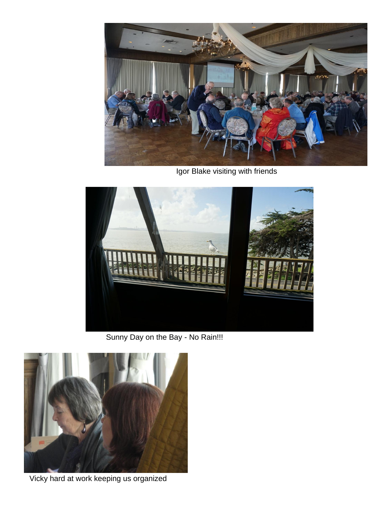

Igor Blake visiting with friends



Sunny Day on the Bay - No Rain!!!



Vicky hard at work keeping us organized